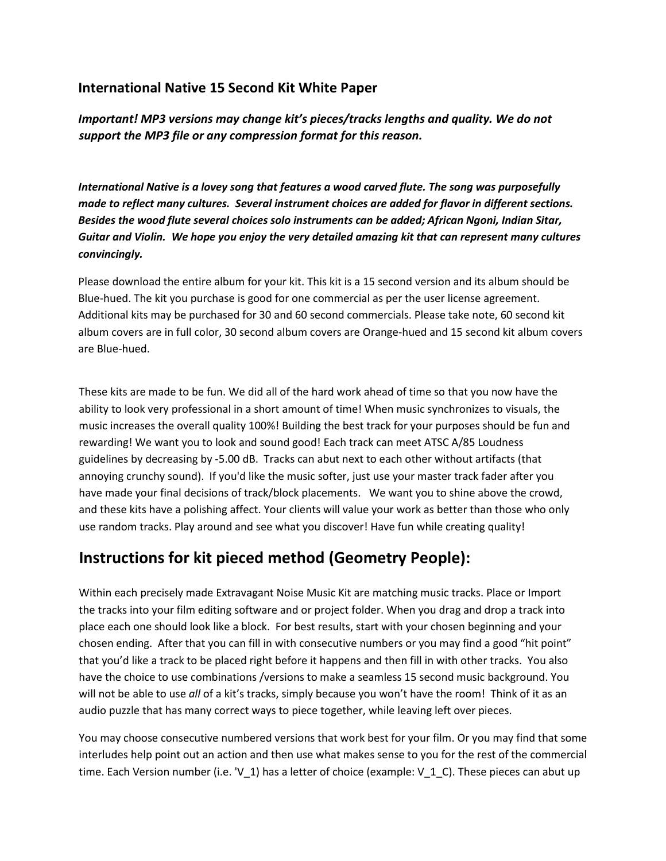#### **International Native 15 Second Kit White Paper**

*Important! MP3 versions may change kit's pieces/tracks lengths and quality. We do not support the MP3 file or any compression format for this reason.* 

*International Native is a lovey song that features a wood carved flute. The song was purposefully made to reflect many cultures. Several instrument choices are added for flavor in different sections. Besides the wood flute several choices solo instruments can be added; African Ngoni, Indian Sitar, Guitar and Violin. We hope you enjoy the very detailed amazing kit that can represent many cultures convincingly.* 

Please download the entire album for your kit. This kit is a 15 second version and its album should be Blue-hued. The kit you purchase is good for one commercial as per the user license agreement. Additional kits may be purchased for 30 and 60 second commercials. Please take note, 60 second kit album covers are in full color, 30 second album covers are Orange-hued and 15 second kit album covers are Blue-hued.

These kits are made to be fun. We did all of the hard work ahead of time so that you now have the ability to look very professional in a short amount of time! When music synchronizes to visuals, the music increases the overall quality 100%! Building the best track for your purposes should be fun and rewarding! We want you to look and sound good! Each track can meet ATSC A/85 Loudness guidelines by decreasing by -5.00 dB. Tracks can abut next to each other without artifacts (that annoying crunchy sound). If you'd like the music softer, just use your master track fader after you have made your final decisions of track/block placements. We want you to shine above the crowd, and these kits have a polishing affect. Your clients will value your work as better than those who only use random tracks. Play around and see what you discover! Have fun while creating quality!

#### **Instructions for kit pieced method (Geometry People):**

Within each precisely made Extravagant Noise Music Kit are matching music tracks. Place or Import the tracks into your film editing software and or project folder. When you drag and drop a track into place each one should look like a block. For best results, start with your chosen beginning and your chosen ending. After that you can fill in with consecutive numbers or you may find a good "hit point" that you'd like a track to be placed right before it happens and then fill in with other tracks. You also have the choice to use combinations /versions to make a seamless 15 second music background. You will not be able to use *all* of a kit's tracks, simply because you won't have the room! Think of it as an audio puzzle that has many correct ways to piece together, while leaving left over pieces.

You may choose consecutive numbered versions that work best for your film. Or you may find that some interludes help point out an action and then use what makes sense to you for the rest of the commercial time. Each Version number (i.e. 'V 1) has a letter of choice (example: V\_1\_C). These pieces can abut up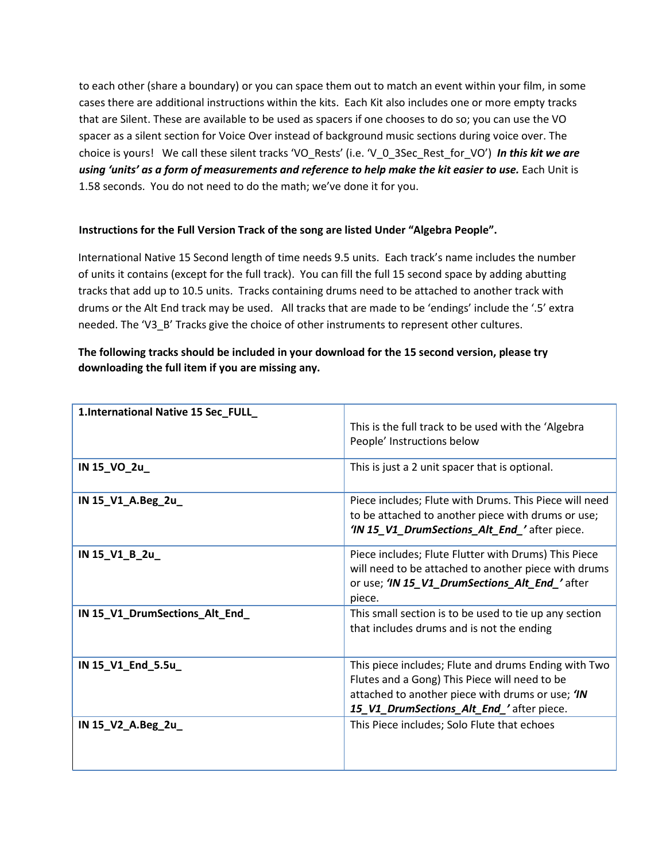to each other (share a boundary) or you can space them out to match an event within your film, in some cases there are additional instructions within the kits. Each Kit also includes one or more empty tracks that are Silent. These are available to be used as spacers if one chooses to do so; you can use the VO spacer as a silent section for Voice Over instead of background music sections during voice over. The choice is yours! We call these silent tracks 'VO\_Rests' (i.e. 'V\_0\_3Sec\_Rest\_for\_VO') *In this kit we are using 'units' as a form of measurements and reference to help make the kit easier to use.* Each Unit is 1.58 seconds. You do not need to do the math; we've done it for you.

#### **Instructions for the Full Version Track of the song are listed Under "Algebra People".**

International Native 15 Second length of time needs 9.5 units. Each track's name includes the number of units it contains (except for the full track). You can fill the full 15 second space by adding abutting tracks that add up to 10.5 units. Tracks containing drums need to be attached to another track with drums or the Alt End track may be used. All tracks that are made to be 'endings' include the '.5' extra needed. The 'V3\_B' Tracks give the choice of other instruments to represent other cultures.

#### **The following tracks should be included in your download for the 15 second version, please try downloading the full item if you are missing any.**

| 1.International Native 15 Sec_FULL_ |                                                                                                                                                                                                       |
|-------------------------------------|-------------------------------------------------------------------------------------------------------------------------------------------------------------------------------------------------------|
|                                     | This is the full track to be used with the 'Algebra'<br>People' Instructions below                                                                                                                    |
| IN 15_VO_2u_                        | This is just a 2 unit spacer that is optional.                                                                                                                                                        |
| IN 15_V1_A.Beg_2u_                  | Piece includes; Flute with Drums. This Piece will need<br>to be attached to another piece with drums or use;<br>'IN 15_V1_DrumSections_Alt_End_'after piece.                                          |
| IN 15_V1_B_2u_                      | Piece includes; Flute Flutter with Drums) This Piece<br>will need to be attached to another piece with drums<br>or use; 'IN 15 V1_DrumSections_Alt_End_'after<br>piece.                               |
| IN 15_V1_DrumSections_Alt_End_      | This small section is to be used to tie up any section<br>that includes drums and is not the ending                                                                                                   |
| IN 15_V1_End_5.5u_                  | This piece includes; Flute and drums Ending with Two<br>Flutes and a Gong) This Piece will need to be<br>attached to another piece with drums or use; 'IN<br>15_V1_DrumSections_Alt_End_'after piece. |
| IN 15_V2_A.Beg_2u_                  | This Piece includes; Solo Flute that echoes                                                                                                                                                           |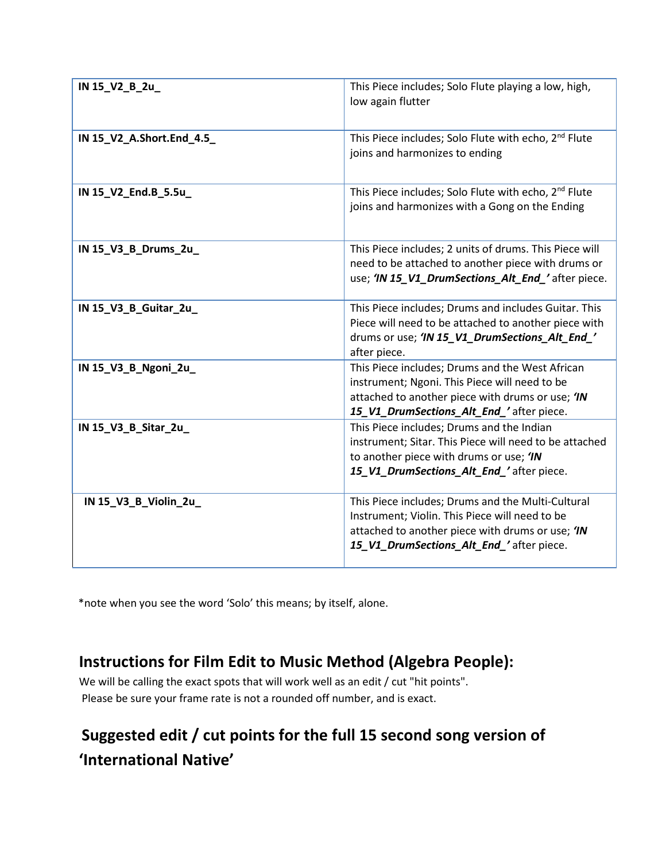| IN 15_V2_B_2u_            | This Piece includes; Solo Flute playing a low, high,<br>low again flutter                                                                                                                           |  |  |
|---------------------------|-----------------------------------------------------------------------------------------------------------------------------------------------------------------------------------------------------|--|--|
| IN 15_V2_A.Short.End_4.5_ | This Piece includes; Solo Flute with echo, 2 <sup>nd</sup> Flute<br>joins and harmonizes to ending                                                                                                  |  |  |
| IN 15_V2_End.B_5.5u_      | This Piece includes; Solo Flute with echo, 2 <sup>nd</sup> Flute<br>joins and harmonizes with a Gong on the Ending                                                                                  |  |  |
| IN 15_V3_B_Drums_2u_      | This Piece includes; 2 units of drums. This Piece will<br>need to be attached to another piece with drums or<br>use; 'IN 15_V1_DrumSections_Alt_End_'after piece.                                   |  |  |
| IN 15_V3_B_Guitar_2u_     | This Piece includes; Drums and includes Guitar. This<br>Piece will need to be attached to another piece with<br>drums or use; 'IN 15_V1_DrumSections_Alt_End_'<br>after piece.                      |  |  |
| IN 15_V3_B_Ngoni_2u_      | This Piece includes; Drums and the West African<br>instrument; Ngoni. This Piece will need to be<br>attached to another piece with drums or use; 'IN<br>15_V1_DrumSections_Alt_End_'after piece.    |  |  |
| IN 15_V3_B_Sitar_2u       | This Piece includes; Drums and the Indian<br>instrument; Sitar. This Piece will need to be attached<br>to another piece with drums or use; 'IN<br>15_V1_DrumSections_Alt_End_'after piece.          |  |  |
| IN 15_V3_B_Violin_2u_     | This Piece includes; Drums and the Multi-Cultural<br>Instrument; Violin. This Piece will need to be<br>attached to another piece with drums or use; 'IN<br>15 V1 DrumSections Alt End 'after piece. |  |  |

\*note when you see the word 'Solo' this means; by itself, alone.

### **Instructions for Film Edit to Music Method (Algebra People):**

We will be calling the exact spots that will work well as an edit / cut "hit points". Please be sure your frame rate is not a rounded off number, and is exact.

## **Suggested edit / cut points for the full 15 second song version of 'International Native'**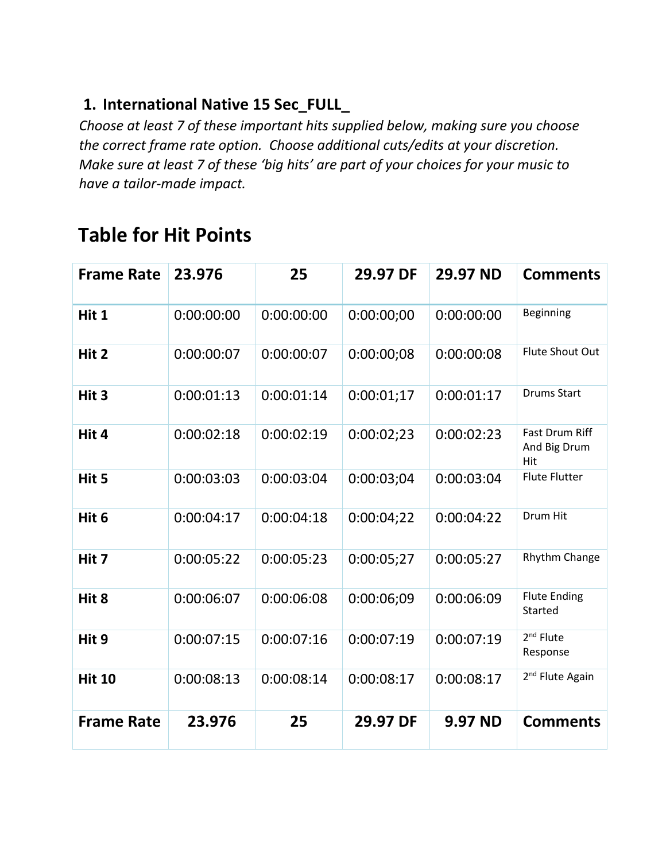### **1. International Native 15 Sec\_FULL\_**

*Choose at least 7 of these important hits supplied below, making sure you choose the correct frame rate option. Choose additional cuts/edits at your discretion. Make sure at least 7 of these 'big hits' are part of your choices for your music to have a tailor-made impact.* 

# **Table for Hit Points**

| <b>Frame Rate</b> | 23.976     | 25         | 29.97 DF   | 29.97 ND       | <b>Comments</b>                       |
|-------------------|------------|------------|------------|----------------|---------------------------------------|
| Hit 1             | 0:00:00:00 | 0:00:00:00 | 0:00:00:00 | 0:00:00:00     | Beginning                             |
| Hit 2             | 0:00:00:07 | 0:00:00:07 | 0:00:00:08 | 0:00:00:08     | Flute Shout Out                       |
| Hit 3             | 0:00:01:13 | 0:00:01:14 | 0:00:01;17 | 0:00:01:17     | <b>Drums Start</b>                    |
| Hit 4             | 0:00:02:18 | 0:00:02:19 | 0:00:02;23 | 0:00:02:23     | Fast Drum Riff<br>And Big Drum<br>Hit |
| Hit 5             | 0:00:03:03 | 0:00:03:04 | 0:00:03;04 | 0:00:03:04     | <b>Flute Flutter</b>                  |
| Hit 6             | 0:00:04:17 | 0:00:04:18 | 0:00:04;22 | 0:00:04:22     | Drum Hit                              |
| Hit 7             | 0:00:05:22 | 0:00:05:23 | 0:00:05;27 | 0:00:05:27     | Rhythm Change                         |
| Hit 8             | 0:00:06:07 | 0:00:06:08 | 0:00:06;09 | 0:00:06:09     | <b>Flute Ending</b><br>Started        |
| Hit 9             | 0:00:07:15 | 0:00:07:16 | 0:00:07:19 | 0:00:07:19     | $2nd$ Flute<br>Response               |
| <b>Hit 10</b>     | 0:00:08:13 | 0:00:08:14 | 0:00:08:17 | 0:00:08:17     | 2 <sup>nd</sup> Flute Again           |
| <b>Frame Rate</b> | 23.976     | 25         | 29.97 DF   | <b>9.97 ND</b> | <b>Comments</b>                       |